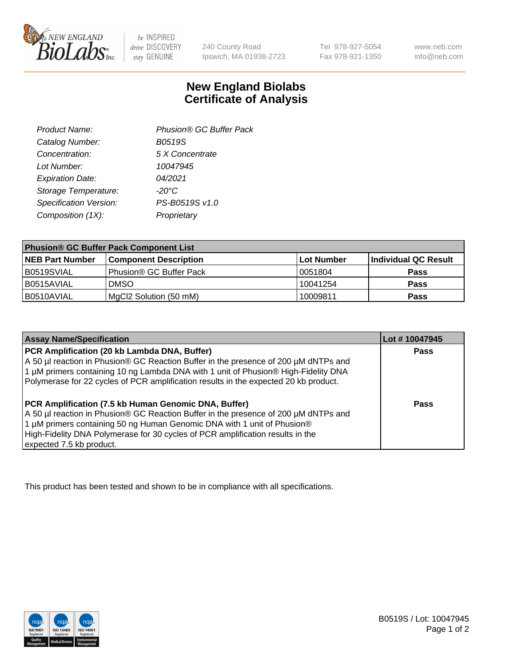

 $be$  INSPIRED drive DISCOVERY stay GENUINE

240 County Road Ipswich, MA 01938-2723

Tel 978-927-5054 Fax 978-921-1350 www.neb.com info@neb.com

## **New England Biolabs Certificate of Analysis**

| Phusion® GC Buffer Pack |
|-------------------------|
| <b>B0519S</b>           |
| 5 X Concentrate         |
| 10047945                |
| 04/2021                 |
| $-20^{\circ}$ C         |
| PS-B0519S v1.0          |
| Proprietary             |
|                         |

| <b>Phusion® GC Buffer Pack Component List</b> |                              |             |                      |  |
|-----------------------------------------------|------------------------------|-------------|----------------------|--|
| <b>NEB Part Number</b>                        | <b>Component Description</b> | ∣Lot Number | Individual QC Result |  |
| B0519SVIAL                                    | Phusion® GC Buffer Pack      | 10051804    | <b>Pass</b>          |  |
| B0515AVIAL                                    | <b>DMSO</b>                  | 10041254    | <b>Pass</b>          |  |
| B0510AVIAL                                    | MgCl2 Solution (50 mM)       | 10009811    | <b>Pass</b>          |  |

| <b>Assay Name/Specification</b>                                                                                                                                                                                                                                                                                                      | Lot #10047945 |
|--------------------------------------------------------------------------------------------------------------------------------------------------------------------------------------------------------------------------------------------------------------------------------------------------------------------------------------|---------------|
| PCR Amplification (20 kb Lambda DNA, Buffer)<br>A 50 µl reaction in Phusion® GC Reaction Buffer in the presence of 200 µM dNTPs and<br>1 μM primers containing 10 ng Lambda DNA with 1 unit of Phusion® High-Fidelity DNA<br>Polymerase for 22 cycles of PCR amplification results in the expected 20 kb product.                    | <b>Pass</b>   |
| PCR Amplification (7.5 kb Human Genomic DNA, Buffer)<br>A 50 µl reaction in Phusion® GC Reaction Buffer in the presence of 200 µM dNTPs and<br>1 µM primers containing 50 ng Human Genomic DNA with 1 unit of Phusion®<br>High-Fidelity DNA Polymerase for 30 cycles of PCR amplification results in the<br>expected 7.5 kb product. | Pass          |

This product has been tested and shown to be in compliance with all specifications.